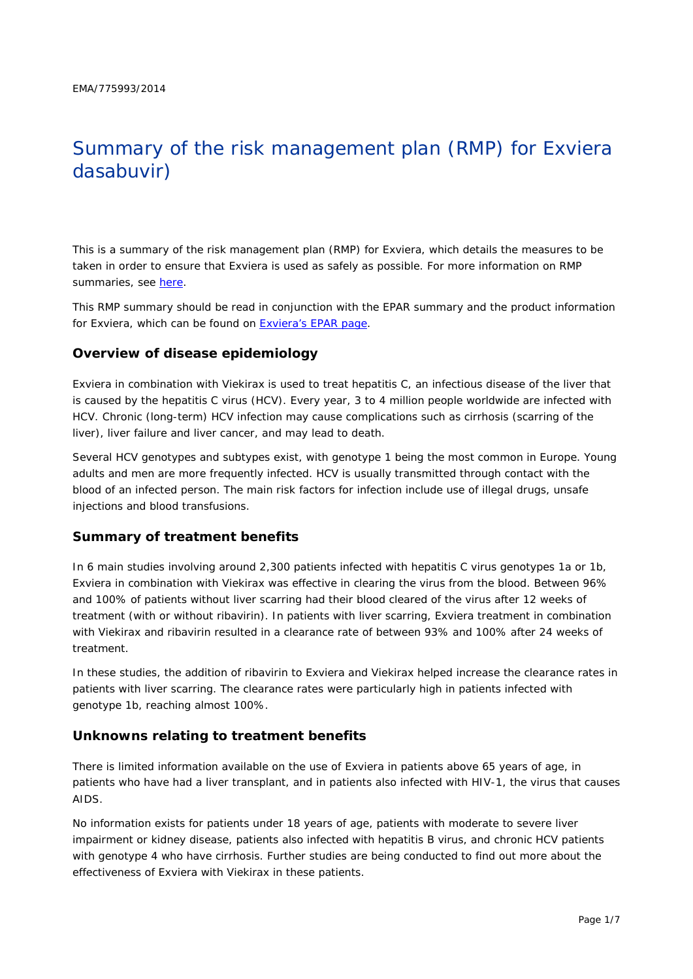# Summary of the risk management plan (RMP) for Exviera dasabuvir)

This is a summary of the risk management plan (RMP) for Exviera, which details the measures to be taken in order to ensure that Exviera is used as safely as possible. For more information on RMP summaries, see [here.](http://www.ema.europa.eu/docs/en_GB/document_library/Other/2014/05/WC500166101.pdf)

This RMP summary should be read in conjunction with the EPAR summary and the product information for Exviera, which can be found on [Exviera's EPAR page.](http://www.ema.europa.eu/ema/index.jsp?curl=/pages/medicines/human/medicines/003837/human_med_001833.jsp)

#### **Overview of disease epidemiology**

Exviera in combination with Viekirax is used to treat hepatitis C, an infectious disease of the liver that is caused by the hepatitis C virus (HCV). Every year, 3 to 4 million people worldwide are infected with HCV. Chronic (long-term) HCV infection may cause complications such as cirrhosis (scarring of the liver), liver failure and liver cancer, and may lead to death.

Several HCV genotypes and subtypes exist, with genotype 1 being the most common in Europe. Young adults and men are more frequently infected. HCV is usually transmitted through contact with the blood of an infected person. The main risk factors for infection include use of illegal drugs, unsafe injections and blood transfusions.

#### **Summary of treatment benefits**

In 6 main studies involving around 2,300 patients infected with hepatitis C virus genotypes 1a or 1b, Exviera in combination with Viekirax was effective in clearing the virus from the blood. Between 96% and 100% of patients without liver scarring had their blood cleared of the virus after 12 weeks of treatment (with or without ribavirin). In patients with liver scarring, Exviera treatment in combination with Viekirax and ribavirin resulted in a clearance rate of between 93% and 100% after 24 weeks of treatment

In these studies, the addition of ribavirin to Exviera and Viekirax helped increase the clearance rates in patients with liver scarring. The clearance rates were particularly high in patients infected with genotype 1b, reaching almost 100%.

#### **Unknowns relating to treatment benefits**

There is limited information available on the use of Exviera in patients above 65 years of age, in patients who have had a liver transplant, and in patients also infected with HIV-1, the virus that causes AIDS.

No information exists for patients under 18 years of age, patients with moderate to severe liver impairment or kidney disease, patients also infected with hepatitis B virus, and chronic HCV patients with genotype 4 who have cirrhosis. Further studies are being conducted to find out more about the effectiveness of Exviera with Viekirax in these patients.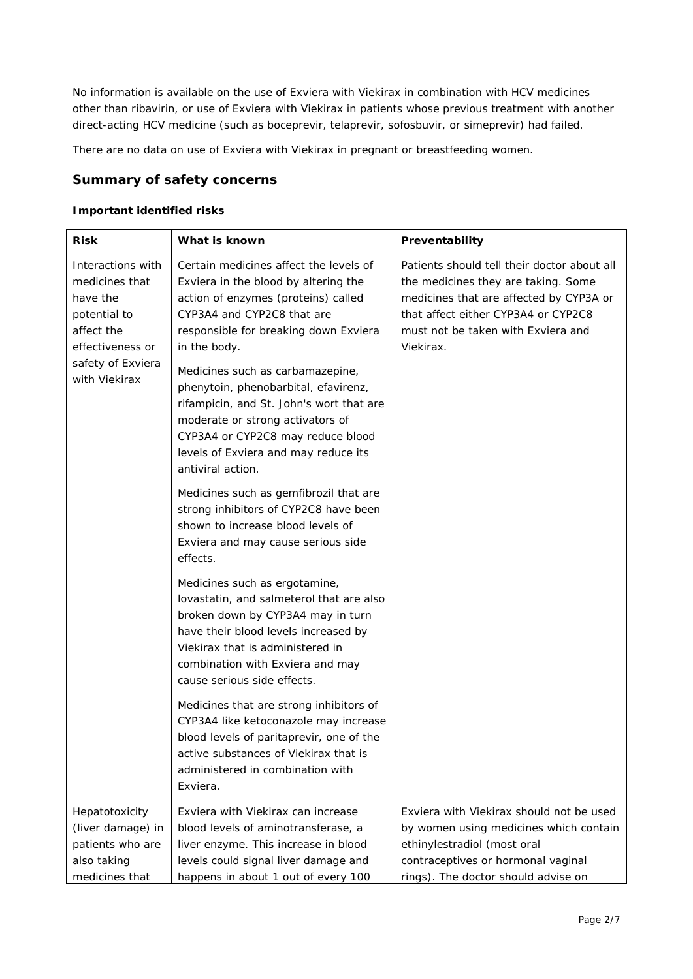No information is available on the use of Exviera with Viekirax in combination with HCV medicines other than ribavirin, or use of Exviera with Viekirax in patients whose previous treatment with another direct-acting HCV medicine (such as boceprevir, telaprevir, sofosbuvir, or simeprevir) had failed.

There are no data on use of Exviera with Viekirax in pregnant or breastfeeding women.

### **Summary of safety concerns**

#### *Important identified risks*

| <b>Risk</b>                                                                                                                             | What is known                                                                                                                                                                                                                                                                                                                                                                                                                                                                                                                                                                                                                                        | Preventability                                                                                                                                                                                                          |  |
|-----------------------------------------------------------------------------------------------------------------------------------------|------------------------------------------------------------------------------------------------------------------------------------------------------------------------------------------------------------------------------------------------------------------------------------------------------------------------------------------------------------------------------------------------------------------------------------------------------------------------------------------------------------------------------------------------------------------------------------------------------------------------------------------------------|-------------------------------------------------------------------------------------------------------------------------------------------------------------------------------------------------------------------------|--|
| Interactions with<br>medicines that<br>have the<br>potential to<br>affect the<br>effectiveness or<br>safety of Exviera<br>with Viekirax | Certain medicines affect the levels of<br>Exviera in the blood by altering the<br>action of enzymes (proteins) called<br>CYP3A4 and CYP2C8 that are<br>responsible for breaking down Exviera<br>in the body.<br>Medicines such as carbamazepine,<br>phenytoin, phenobarbital, efavirenz,<br>rifampicin, and St. John's wort that are<br>moderate or strong activators of<br>CYP3A4 or CYP2C8 may reduce blood<br>levels of Exviera and may reduce its<br>antiviral action.<br>Medicines such as gemfibrozil that are<br>strong inhibitors of CYP2C8 have been<br>shown to increase blood levels of<br>Exviera and may cause serious side<br>effects. | Patients should tell their doctor about all<br>the medicines they are taking. Some<br>medicines that are affected by CYP3A or<br>that affect either CYP3A4 or CYP2C8<br>must not be taken with Exviera and<br>Viekirax. |  |
|                                                                                                                                         | Medicines such as ergotamine,<br>lovastatin, and salmeterol that are also<br>broken down by CYP3A4 may in turn<br>have their blood levels increased by<br>Viekirax that is administered in<br>combination with Exviera and may<br>cause serious side effects.                                                                                                                                                                                                                                                                                                                                                                                        |                                                                                                                                                                                                                         |  |
|                                                                                                                                         | Medicines that are strong inhibitors of<br>CYP3A4 like ketoconazole may increase<br>blood levels of paritaprevir, one of the<br>active substances of Viekirax that is<br>administered in combination with<br>Exviera.                                                                                                                                                                                                                                                                                                                                                                                                                                |                                                                                                                                                                                                                         |  |
| Hepatotoxicity<br>(liver damage) in<br>patients who are<br>also taking<br>medicines that                                                | Exviera with Viekirax can increase<br>blood levels of aminotransferase, a<br>liver enzyme. This increase in blood<br>levels could signal liver damage and<br>happens in about 1 out of every 100                                                                                                                                                                                                                                                                                                                                                                                                                                                     | Exviera with Viekirax should not be used<br>by women using medicines which contain<br>ethinylestradiol (most oral<br>contraceptives or hormonal vaginal<br>rings). The doctor should advise on                          |  |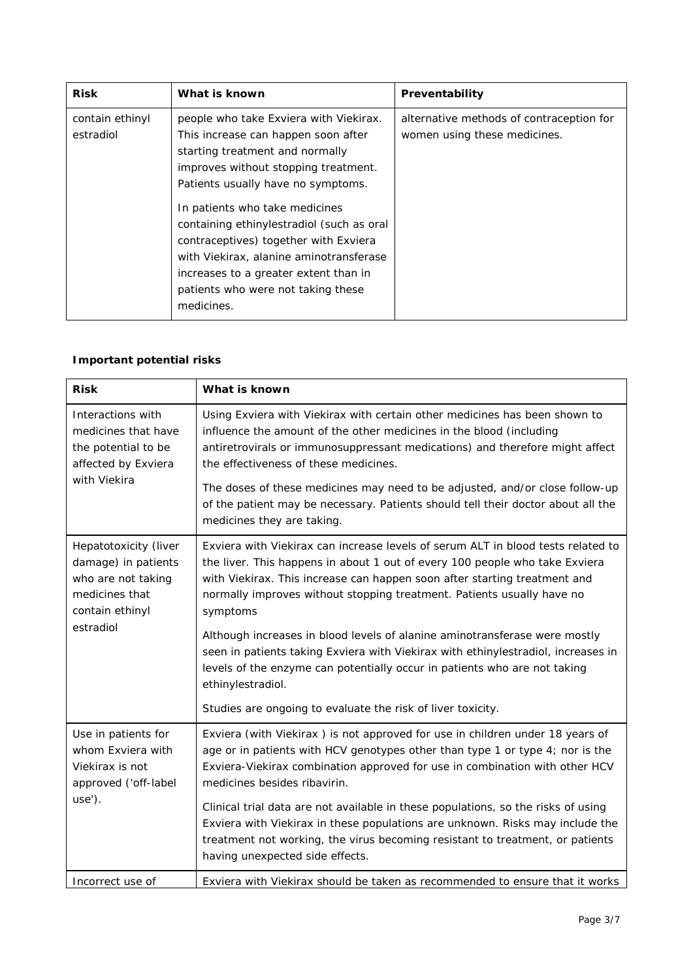| <b>Risk</b>                  | What is known                                                                                                                                                                                                                    | Preventability                                                           |
|------------------------------|----------------------------------------------------------------------------------------------------------------------------------------------------------------------------------------------------------------------------------|--------------------------------------------------------------------------|
| contain ethinyl<br>estradiol | people who take Exviera with Viekirax.<br>This increase can happen soon after<br>starting treatment and normally<br>improves without stopping treatment.<br>Patients usually have no symptoms.<br>In patients who take medicines | alternative methods of contraception for<br>women using these medicines. |
|                              | containing ethinylestradiol (such as oral<br>contraceptives) together with Exviera<br>with Viekirax, alanine aminotransferase<br>increases to a greater extent than in<br>patients who were not taking these<br>medicines.       |                                                                          |

#### *Important potential risks*

| <b>Risk</b>                                                                                                          | What is known                                                                                                                                                                                                                                                                                                                                                                                                                                                                                                                                                                                                                                                          |
|----------------------------------------------------------------------------------------------------------------------|------------------------------------------------------------------------------------------------------------------------------------------------------------------------------------------------------------------------------------------------------------------------------------------------------------------------------------------------------------------------------------------------------------------------------------------------------------------------------------------------------------------------------------------------------------------------------------------------------------------------------------------------------------------------|
| Interactions with<br>medicines that have<br>the potential to be<br>affected by Exviera<br>with Viekira               | Using Exviera with Viekirax with certain other medicines has been shown to<br>influence the amount of the other medicines in the blood (including<br>antiretrovirals or immunosuppressant medications) and therefore might affect<br>the effectiveness of these medicines.<br>The doses of these medicines may need to be adjusted, and/or close follow-up<br>of the patient may be necessary. Patients should tell their doctor about all the<br>medicines they are taking.                                                                                                                                                                                           |
| Hepatotoxicity (liver<br>damage) in patients<br>who are not taking<br>medicines that<br>contain ethinyl<br>estradiol | Exviera with Viekirax can increase levels of serum ALT in blood tests related to<br>the liver. This happens in about 1 out of every 100 people who take Exviera<br>with Viekirax. This increase can happen soon after starting treatment and<br>normally improves without stopping treatment. Patients usually have no<br>symptoms<br>Although increases in blood levels of alanine aminotransferase were mostly<br>seen in patients taking Exviera with Viekirax with ethinylestradiol, increases in<br>levels of the enzyme can potentially occur in patients who are not taking<br>ethinylestradiol.<br>Studies are ongoing to evaluate the risk of liver toxicity. |
| Use in patients for<br>whom Exviera with<br>Viekirax is not<br>approved ('off-label<br>use').                        | Exviera (with Viekirax) is not approved for use in children under 18 years of<br>age or in patients with HCV genotypes other than type 1 or type 4; nor is the<br>Exviera-Viekirax combination approved for use in combination with other HCV<br>medicines besides ribavirin.<br>Clinical trial data are not available in these populations, so the risks of using<br>Exviera with Viekirax in these populations are unknown. Risks may include the<br>treatment not working, the virus becoming resistant to treatment, or patients<br>having unexpected side effects.                                                                                                |
| Incorrect use of                                                                                                     | Exviera with Viekirax should be taken as recommended to ensure that it works                                                                                                                                                                                                                                                                                                                                                                                                                                                                                                                                                                                           |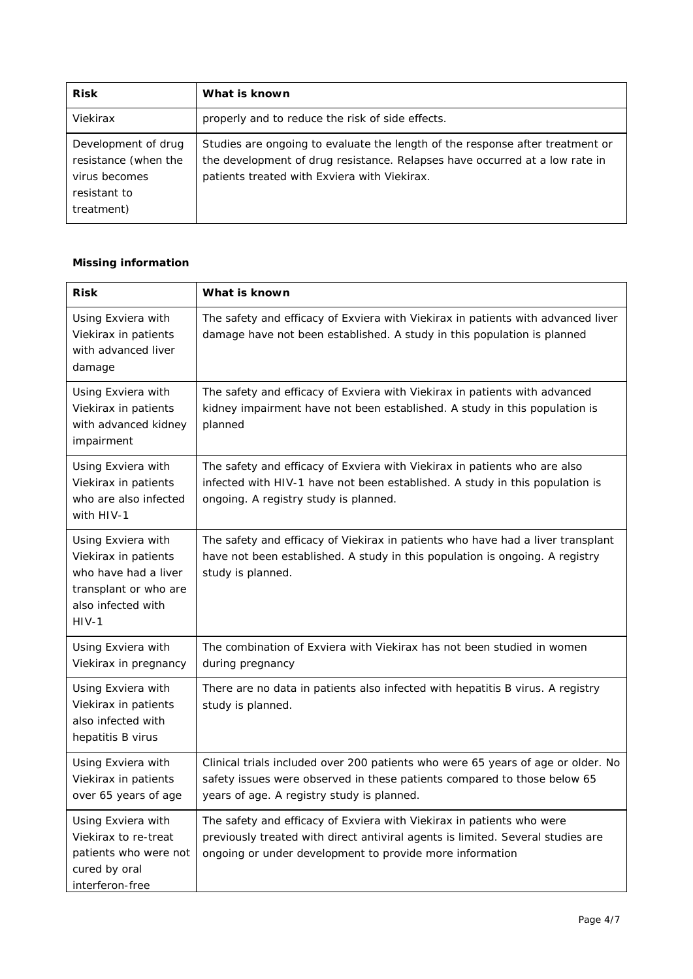| <b>Risk</b>                                                                                | What is known                                                                                                                                                                                                |
|--------------------------------------------------------------------------------------------|--------------------------------------------------------------------------------------------------------------------------------------------------------------------------------------------------------------|
| Viekirax                                                                                   | properly and to reduce the risk of side effects.                                                                                                                                                             |
| Development of drug<br>resistance (when the<br>virus becomes<br>resistant to<br>treatment) | Studies are ongoing to evaluate the length of the response after treatment or<br>the development of drug resistance. Relapses have occurred at a low rate in<br>patients treated with Exviera with Viekirax. |

#### *Missing information*

| <b>Risk</b>                                                                                                                  | What is known                                                                                                                                                                                                        |
|------------------------------------------------------------------------------------------------------------------------------|----------------------------------------------------------------------------------------------------------------------------------------------------------------------------------------------------------------------|
| Using Exviera with<br>Viekirax in patients<br>with advanced liver<br>damage                                                  | The safety and efficacy of Exviera with Viekirax in patients with advanced liver<br>damage have not been established. A study in this population is planned                                                          |
| Using Exviera with<br>Viekirax in patients<br>with advanced kidney<br>impairment                                             | The safety and efficacy of Exviera with Viekirax in patients with advanced<br>kidney impairment have not been established. A study in this population is<br>planned                                                  |
| Using Exviera with<br>Viekirax in patients<br>who are also infected<br>with HIV-1                                            | The safety and efficacy of Exviera with Viekirax in patients who are also<br>infected with HIV-1 have not been established. A study in this population is<br>ongoing. A registry study is planned.                   |
| Using Exviera with<br>Viekirax in patients<br>who have had a liver<br>transplant or who are<br>also infected with<br>$HIV-1$ | The safety and efficacy of Viekirax in patients who have had a liver transplant<br>have not been established. A study in this population is ongoing. A registry<br>study is planned.                                 |
| Using Exviera with<br>Viekirax in pregnancy                                                                                  | The combination of Exviera with Viekirax has not been studied in women<br>during pregnancy                                                                                                                           |
| Using Exviera with<br>Viekirax in patients<br>also infected with<br>hepatitis B virus                                        | There are no data in patients also infected with hepatitis B virus. A registry<br>study is planned.                                                                                                                  |
| Using Exviera with<br>Viekirax in patients<br>over 65 years of age                                                           | Clinical trials included over 200 patients who were 65 years of age or older. No<br>safety issues were observed in these patients compared to those below 65<br>years of age. A registry study is planned.           |
| Using Exviera with<br>Viekirax to re-treat<br>patients who were not<br>cured by oral<br>interferon-free                      | The safety and efficacy of Exviera with Viekirax in patients who were<br>previously treated with direct antiviral agents is limited. Several studies are<br>ongoing or under development to provide more information |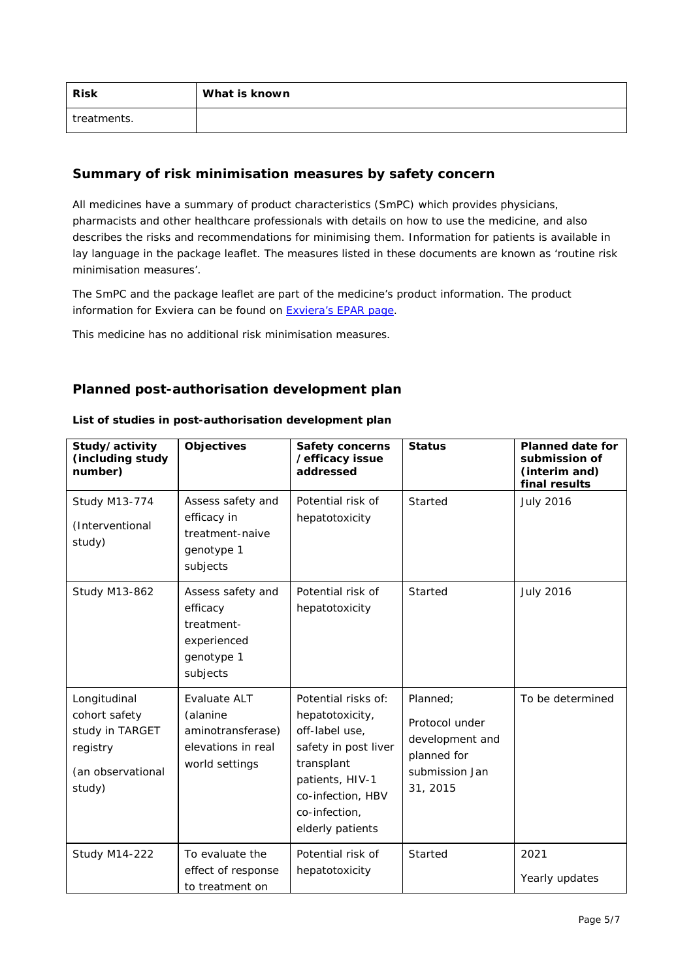| <b>Risk</b> | What is known |
|-------------|---------------|
| treatments. |               |

#### **Summary of risk minimisation measures by safety concern**

All medicines have a summary of product characteristics (SmPC) which provides physicians, pharmacists and other healthcare professionals with details on how to use the medicine, and also describes the risks and recommendations for minimising them. Information for patients is available in lay language in the package leaflet. The measures listed in these documents are known as 'routine risk minimisation measures'.

The SmPC and the package leaflet are part of the medicine's product information. The product information for Exviera can be found on [Exviera's EPAR page.](http://www.ema.europa.eu/ema/index.jsp?curl=/pages/medicines/human/medicines/003837/human_med_001833.jsp)

This medicine has no additional risk minimisation measures.

#### **Planned post-authorisation development plan**

| Study/activity<br>(including study<br>number)                                               | <b>Objectives</b>                                                                     | <b>Safety concerns</b><br>/efficacy issue<br>addressed                                                                                                                      | <b>Status</b>                                                                              | <b>Planned date for</b><br>submission of<br>(interim and)<br>final results |
|---------------------------------------------------------------------------------------------|---------------------------------------------------------------------------------------|-----------------------------------------------------------------------------------------------------------------------------------------------------------------------------|--------------------------------------------------------------------------------------------|----------------------------------------------------------------------------|
| <b>Study M13-774</b><br>(Interventional<br>study)                                           | Assess safety and<br>efficacy in<br>treatment-naive<br>genotype 1<br>subjects         | Potential risk of<br>hepatotoxicity                                                                                                                                         | Started                                                                                    | <b>July 2016</b>                                                           |
| <b>Study M13-862</b>                                                                        | Assess safety and<br>efficacy<br>treatment-<br>experienced<br>genotype 1<br>subjects  | Potential risk of<br>hepatotoxicity                                                                                                                                         | Started                                                                                    | <b>July 2016</b>                                                           |
| Longitudinal<br>cohort safety<br>study in TARGET<br>registry<br>(an observational<br>study) | Evaluate ALT<br>(alanine<br>aminotransferase)<br>elevations in real<br>world settings | Potential risks of:<br>hepatotoxicity,<br>off-label use,<br>safety in post liver<br>transplant<br>patients, HIV-1<br>co-infection, HBV<br>co-infection,<br>elderly patients | Planned;<br>Protocol under<br>development and<br>planned for<br>submission Jan<br>31, 2015 | To be determined                                                           |
| <b>Study M14-222</b>                                                                        | To evaluate the<br>effect of response<br>to treatment on                              | Potential risk of<br>hepatotoxicity                                                                                                                                         | Started                                                                                    | 2021<br>Yearly updates                                                     |

#### *List of studies in post-authorisation development plan*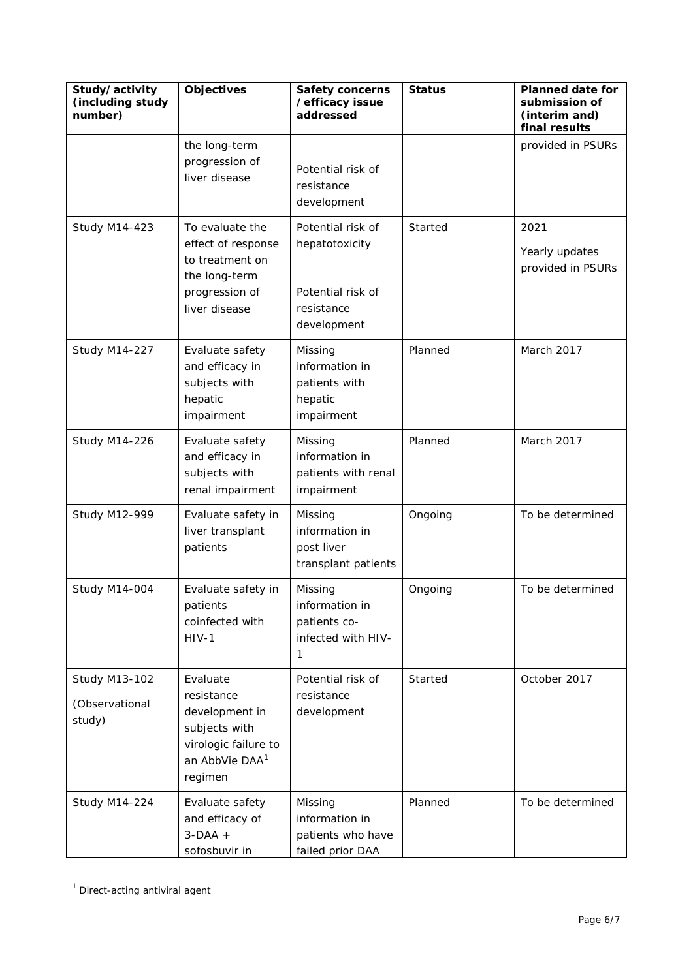| Study/activity<br>(including study<br>number)    | <b>Objectives</b>                                                                                                          | <b>Safety concerns</b><br>/efficacy issue<br>addressed                                | <b>Status</b> | <b>Planned date for</b><br>submission of<br>(interim and)<br>final results |
|--------------------------------------------------|----------------------------------------------------------------------------------------------------------------------------|---------------------------------------------------------------------------------------|---------------|----------------------------------------------------------------------------|
|                                                  | the long-term<br>progression of<br>liver disease                                                                           | Potential risk of<br>resistance<br>development                                        |               | provided in PSURs                                                          |
| <b>Study M14-423</b>                             | To evaluate the<br>effect of response<br>to treatment on<br>the long-term<br>progression of<br>liver disease               | Potential risk of<br>hepatotoxicity<br>Potential risk of<br>resistance<br>development | Started       | 2021<br>Yearly updates<br>provided in PSURs                                |
| <b>Study M14-227</b>                             | Evaluate safety<br>and efficacy in<br>subjects with<br>hepatic<br>impairment                                               | Missing<br>information in<br>patients with<br>hepatic<br>impairment                   | Planned       | March 2017                                                                 |
| <b>Study M14-226</b>                             | Evaluate safety<br>and efficacy in<br>subjects with<br>renal impairment                                                    | Missing<br>information in<br>patients with renal<br>impairment                        | Planned       | March 2017                                                                 |
| <b>Study M12-999</b>                             | Evaluate safety in<br>liver transplant<br>patients                                                                         | Missing<br>information in<br>post liver<br>transplant patients                        | Ongoing       | To be determined                                                           |
| <b>Study M14-004</b>                             | Evaluate safety in<br>patients<br>coinfected with<br>$HIV-1$                                                               | Missing<br>information in<br>patients co-<br>infected with HIV-<br>1                  | Ongoing       | To be determined                                                           |
| <b>Study M13-102</b><br>(Observational<br>study) | Evaluate<br>resistance<br>development in<br>subjects with<br>virologic failure to<br>an AbbVie DAA <sup>1</sup><br>regimen | Potential risk of<br>resistance<br>development                                        | Started       | October 2017                                                               |
| <b>Study M14-224</b>                             | Evaluate safety<br>and efficacy of<br>$3-DAA +$<br>sofosbuvir in                                                           | Missing<br>information in<br>patients who have<br>failed prior DAA                    | Planned       | To be determined                                                           |

<span id="page-5-0"></span> $1$  Direct-acting antiviral agent

 $\overline{a}$